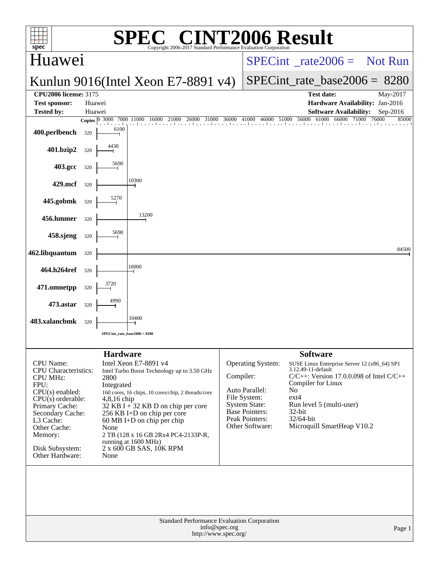| $\circledR$                                                                                                   | <b>T2006 Result</b>                                                                                        |
|---------------------------------------------------------------------------------------------------------------|------------------------------------------------------------------------------------------------------------|
| $spec^*$<br>Copyright 2006-2017 Standard Performance Evaluation Corporation<br>Huawei                         | $SPECint^{\circ}$ <sub>rate2006</sub> = Not Run                                                            |
| Kunlun 9016(Intel Xeon E7-8891 v4)                                                                            | $SPECint_rate_base2006 = 8280$                                                                             |
| <b>CPU2006</b> license: 3175                                                                                  | <b>Test date:</b><br>May-2017                                                                              |
| <b>Test sponsor:</b><br>Huawei                                                                                | Hardware Availability: Jan-2016                                                                            |
| <b>Tested by:</b><br>Huawei                                                                                   | <b>Software Availability:</b><br>Sep-2016                                                                  |
| Copies 0 3000 7000 11000 16000<br>31000<br>21000<br>26000                                                     | 46000 51000 56000 61000 66000 71000 76000<br>36000<br>41000<br>85000                                       |
| 6100<br>400.perlbench<br>320                                                                                  |                                                                                                            |
| 4430<br>401.bzip2<br>320                                                                                      |                                                                                                            |
| 5690<br>403.gcc<br>320                                                                                        |                                                                                                            |
| 10300<br>429.mcf<br>320                                                                                       |                                                                                                            |
| 5270<br>445.gobmk<br>320                                                                                      |                                                                                                            |
| 13200<br>456.hmmer<br>320                                                                                     |                                                                                                            |
| 5690<br>458.sjeng<br>320                                                                                      |                                                                                                            |
| 462.libquantum<br>320                                                                                         | 84500                                                                                                      |
| 10000<br>464.h264ref<br>320                                                                                   |                                                                                                            |
| 3720<br>471.omnetpp<br>320                                                                                    |                                                                                                            |
| 4990<br>473.astar<br>320                                                                                      |                                                                                                            |
| 10400<br>483.xalancbmk<br>320                                                                                 |                                                                                                            |
| SPECint_rate_base2006 = 8280                                                                                  |                                                                                                            |
|                                                                                                               |                                                                                                            |
| <b>Hardware</b><br>Intel Xeon E7-8891 v4<br><b>CPU</b> Name:<br><b>CPU</b> Characteristics:                   | <b>Software</b><br>Operating System:<br>SUSE Linux Enterprise Server 12 (x86_64) SP1<br>3.12.49-11-default |
| Intel Turbo Boost Technology up to 3.50 GHz<br><b>CPU MHz:</b><br>2800                                        | Compiler:<br>$C/C++$ : Version 17.0.0.098 of Intel $C/C++$                                                 |
| FPU:<br>Integrated                                                                                            | Compiler for Linux<br>Auto Parallel:<br>No.                                                                |
| $CPU(s)$ enabled:<br>160 cores, 16 chips, 10 cores/chip, 2 threads/core<br>$CPU(s)$ orderable:<br>4,8,16 chip | ext4<br>File System:                                                                                       |
| Primary Cache:<br>$32$ KB I + 32 KB D on chip per core                                                        | <b>System State:</b><br>Run level 5 (multi-user)                                                           |
| 256 KB I+D on chip per core<br>Secondary Cache:<br>L3 Cache:<br>60 MB I+D on chip per chip                    | <b>Base Pointers:</b><br>32-bit<br>Peak Pointers:<br>32/64-bit                                             |
| Other Cache:<br>None                                                                                          | Microquill SmartHeap V10.2<br>Other Software:                                                              |
| Memory:<br>2 TB (128 x 16 GB 2Rx4 PC4-2133P-R,                                                                |                                                                                                            |
| running at 1600 MHz)<br>2 x 600 GB SAS, 10K RPM<br>Disk Subsystem:<br>Other Hardware:<br>None                 |                                                                                                            |
|                                                                                                               |                                                                                                            |
|                                                                                                               |                                                                                                            |
|                                                                                                               |                                                                                                            |
|                                                                                                               | Standard Performance Evaluation Corporation                                                                |
| info@spec.org<br>http://www.spec.org/                                                                         | Page 1                                                                                                     |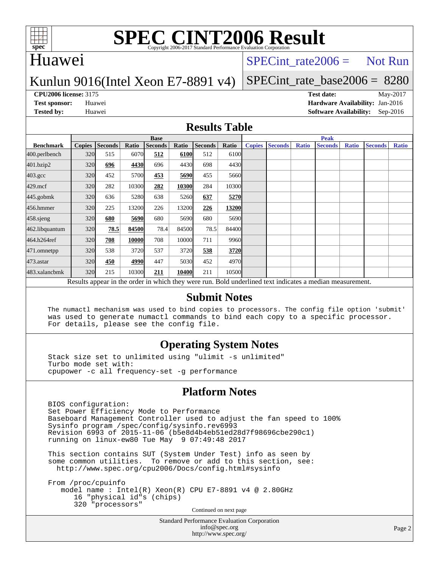

# Huawei

### $SPECTnt_rate2006 = Not Run$

### Kunlun 9016(Intel Xeon E7-8891 v4)

### [SPECint\\_rate\\_base2006 =](http://www.spec.org/auto/cpu2006/Docs/result-fields.html#SPECintratebase2006) 8280

**[CPU2006 license:](http://www.spec.org/auto/cpu2006/Docs/result-fields.html#CPU2006license)** 3175 **[Test date:](http://www.spec.org/auto/cpu2006/Docs/result-fields.html#Testdate)** May-2017 **[Test sponsor:](http://www.spec.org/auto/cpu2006/Docs/result-fields.html#Testsponsor)** Huawei **[Hardware Availability:](http://www.spec.org/auto/cpu2006/Docs/result-fields.html#HardwareAvailability)** Jan-2016 **[Tested by:](http://www.spec.org/auto/cpu2006/Docs/result-fields.html#Testedby)** Huawei **[Software Availability:](http://www.spec.org/auto/cpu2006/Docs/result-fields.html#SoftwareAvailability)** Sep-2016

### **[Results Table](http://www.spec.org/auto/cpu2006/Docs/result-fields.html#ResultsTable)**

|                                                                                                          | <b>Base</b>   |                |       |                |       |                |       | <b>Peak</b>   |                |              |                |              |                |              |
|----------------------------------------------------------------------------------------------------------|---------------|----------------|-------|----------------|-------|----------------|-------|---------------|----------------|--------------|----------------|--------------|----------------|--------------|
| <b>Benchmark</b>                                                                                         | <b>Copies</b> | <b>Seconds</b> | Ratio | <b>Seconds</b> | Ratio | <b>Seconds</b> | Ratio | <b>Copies</b> | <b>Seconds</b> | <b>Ratio</b> | <b>Seconds</b> | <b>Ratio</b> | <b>Seconds</b> | <b>Ratio</b> |
| 400.perlbench                                                                                            | 320           | 515            | 6070  | 512            | 6100  | 512            | 6100  |               |                |              |                |              |                |              |
| 401.bzip2                                                                                                | 320           | 696            | 4430  | 696            | 4430  | 698            | 4430  |               |                |              |                |              |                |              |
| $403.\text{gcc}$                                                                                         | 320           | 452            | 5700  | 453            | 5690  | 455            | 5660  |               |                |              |                |              |                |              |
| $429$ .mcf                                                                                               | 320           | 282            | 10300 | 282            | 10300 | 284            | 10300 |               |                |              |                |              |                |              |
| $445$ .gobm $k$                                                                                          | 320           | 636            | 5280  | 638            | 5260  | 637            | 5270  |               |                |              |                |              |                |              |
| 456.hmmer                                                                                                | 320           | 225            | 13200 | 226            | 13200 | 226            | 13200 |               |                |              |                |              |                |              |
| $458$ .sjeng                                                                                             | 320           | 680            | 5690  | 680            | 5690  | 680            | 5690  |               |                |              |                |              |                |              |
| 462.libquantum                                                                                           | 320           | 78.5           | 84500 | 78.4           | 84500 | 78.5           | 84400 |               |                |              |                |              |                |              |
| 464.h264ref                                                                                              | 320           | 708            | 10000 | 708            | 10000 | 711            | 9960  |               |                |              |                |              |                |              |
| 471.omnetpp                                                                                              | 320           | 538            | 3720  | 537            | 3720  | 538            | 3720  |               |                |              |                |              |                |              |
| 473.astar                                                                                                | 320           | 450            | 4990  | 447            | 5030  | 452            | 4970  |               |                |              |                |              |                |              |
| 483.xalancbmk                                                                                            | 320           | 215            | 10300 | 211            | 10400 | 211            | 10500 |               |                |              |                |              |                |              |
| Results appear in the order in which they were run. Bold underlined text indicates a median measurement. |               |                |       |                |       |                |       |               |                |              |                |              |                |              |

### **[Submit Notes](http://www.spec.org/auto/cpu2006/Docs/result-fields.html#SubmitNotes)**

 The numactl mechanism was used to bind copies to processors. The config file option 'submit' was used to generate numactl commands to bind each copy to a specific processor. For details, please see the config file.

### **[Operating System Notes](http://www.spec.org/auto/cpu2006/Docs/result-fields.html#OperatingSystemNotes)**

 Stack size set to unlimited using "ulimit -s unlimited" Turbo mode set with: cpupower -c all frequency-set -g performance

### **[Platform Notes](http://www.spec.org/auto/cpu2006/Docs/result-fields.html#PlatformNotes)**

 BIOS configuration: Set Power Efficiency Mode to Performance Baseboard Management Controller used to adjust the fan speed to 100% Sysinfo program /spec/config/sysinfo.rev6993 Revision 6993 of 2015-11-06 (b5e8d4b4eb51ed28d7f98696cbe290c1) running on linux-ew80 Tue May 9 07:49:48 2017

 This section contains SUT (System Under Test) info as seen by some common utilities. To remove or add to this section, see: <http://www.spec.org/cpu2006/Docs/config.html#sysinfo>

 From /proc/cpuinfo model name : Intel(R) Xeon(R) CPU E7-8891 v4 @ 2.80GHz 16 "physical id"s (chips) 320 "processors" Continued on next page

> Standard Performance Evaluation Corporation [info@spec.org](mailto:info@spec.org) <http://www.spec.org/>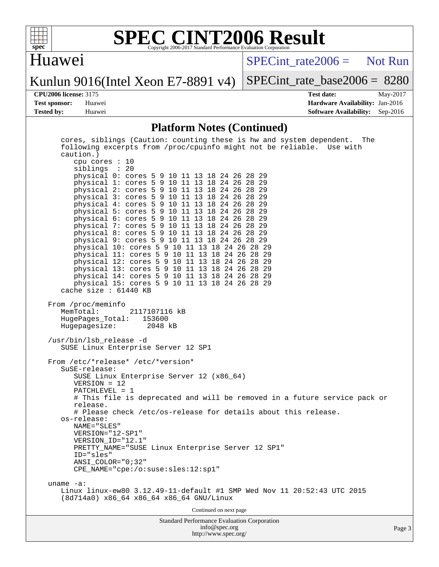

# Huawei

[SPECint\\_rate2006 =](http://www.spec.org/auto/cpu2006/Docs/result-fields.html#SPECintrate2006) Not Run

Kunlun 9016(Intel Xeon E7-8891 v4)

[SPECint\\_rate\\_base2006 =](http://www.spec.org/auto/cpu2006/Docs/result-fields.html#SPECintratebase2006) 8280

**[CPU2006 license:](http://www.spec.org/auto/cpu2006/Docs/result-fields.html#CPU2006license)** 3175 **[Test date:](http://www.spec.org/auto/cpu2006/Docs/result-fields.html#Testdate)** May-2017 **[Test sponsor:](http://www.spec.org/auto/cpu2006/Docs/result-fields.html#Testsponsor)** Huawei **[Hardware Availability:](http://www.spec.org/auto/cpu2006/Docs/result-fields.html#HardwareAvailability)** Jan-2016 **[Tested by:](http://www.spec.org/auto/cpu2006/Docs/result-fields.html#Testedby)** Huawei **[Software Availability:](http://www.spec.org/auto/cpu2006/Docs/result-fields.html#SoftwareAvailability)** Sep-2016

### **[Platform Notes \(Continued\)](http://www.spec.org/auto/cpu2006/Docs/result-fields.html#PlatformNotes)**

| cores, siblings (Caution: counting these is hw and system dependent. The<br>following excerpts from /proc/cpuinfo might not be reliable. Use with<br>caution.)<br>cpu cores $: 10$<br>siblings : 20<br>physical 0: cores 5 9 10 11 13 18 24 26 28 29                                                                                                                                                                                                                                                                                                                                                                                                                                                                                                              |        |
|-------------------------------------------------------------------------------------------------------------------------------------------------------------------------------------------------------------------------------------------------------------------------------------------------------------------------------------------------------------------------------------------------------------------------------------------------------------------------------------------------------------------------------------------------------------------------------------------------------------------------------------------------------------------------------------------------------------------------------------------------------------------|--------|
| physical 1: cores 5 9 10 11 13 18 24 26 28 29<br>physical 2: cores 5 9 10 11 13 18 24 26 28 29<br>physical 3: cores 5 9 10 11 13 18 24 26 28 29<br>physical 4: cores 5 9 10 11 13 18 24 26 28 29<br>physical 5: cores 5 9 10 11 13 18 24 26 28 29<br>physical 6: cores 5 9 10 11 13 18 24 26 28 29<br>physical 7: cores 5 9 10 11 13 18 24 26 28 29<br>physical 8: cores 5 9 10 11 13 18 24 26 28 29<br>physical 9: cores 5 9 10 11 13 18 24 26 28 29<br>physical 10: cores 5 9 10 11 13 18 24 26 28 29<br>physical 11: cores 5 9 10 11 13 18 24 26 28 29<br>physical 12: cores 5 9 10 11 13 18 24 26 28 29<br>physical 13: cores 5 9 10 11 13 18 24 26 28 29<br>physical 14: cores 5 9 10 11 13 18 24 26 28 29<br>physical 15: cores 5 9 10 11 13 18 24 26 28 29 |        |
| cache size $: 61440$ KB                                                                                                                                                                                                                                                                                                                                                                                                                                                                                                                                                                                                                                                                                                                                           |        |
| From /proc/meminfo<br>MemTotal:<br>2117107116 kB<br>HugePages_Total: 153600<br>Hugepagesize: 2048 kB                                                                                                                                                                                                                                                                                                                                                                                                                                                                                                                                                                                                                                                              |        |
| /usr/bin/lsb_release -d<br>SUSE Linux Enterprise Server 12 SP1                                                                                                                                                                                                                                                                                                                                                                                                                                                                                                                                                                                                                                                                                                    |        |
| From /etc/*release* /etc/*version*<br>$S$ uSE-release:<br>SUSE Linux Enterprise Server 12 (x86_64)<br>$VERSION = 12$<br>PATCHLEVEL = 1                                                                                                                                                                                                                                                                                                                                                                                                                                                                                                                                                                                                                            |        |
| # This file is deprecated and will be removed in a future service pack or<br>release.                                                                                                                                                                                                                                                                                                                                                                                                                                                                                                                                                                                                                                                                             |        |
| # Please check /etc/os-release for details about this release.<br>os-release:<br>NAME="SLES"<br>VERSION="12-SP1"                                                                                                                                                                                                                                                                                                                                                                                                                                                                                                                                                                                                                                                  |        |
| VERSION ID="12.1"<br>PRETTY_NAME="SUSE Linux Enterprise Server 12 SP1"<br>ID="sles"<br>ANSI COLOR="0;32"                                                                                                                                                                                                                                                                                                                                                                                                                                                                                                                                                                                                                                                          |        |
| CPE_NAME="cpe:/o:suse:sles:12:sp1"                                                                                                                                                                                                                                                                                                                                                                                                                                                                                                                                                                                                                                                                                                                                |        |
| uname $-a$ :<br>Linux linux-ew80 3.12.49-11-default #1 SMP Wed Nov 11 20:52:43 UTC 2015<br>(8d714a0) x86_64 x86_64 x86_64 GNU/Linux                                                                                                                                                                                                                                                                                                                                                                                                                                                                                                                                                                                                                               |        |
| Continued on next page                                                                                                                                                                                                                                                                                                                                                                                                                                                                                                                                                                                                                                                                                                                                            |        |
| Standard Performance Evaluation Corporation                                                                                                                                                                                                                                                                                                                                                                                                                                                                                                                                                                                                                                                                                                                       |        |
| info@spec.org                                                                                                                                                                                                                                                                                                                                                                                                                                                                                                                                                                                                                                                                                                                                                     | Page 3 |

<http://www.spec.org/>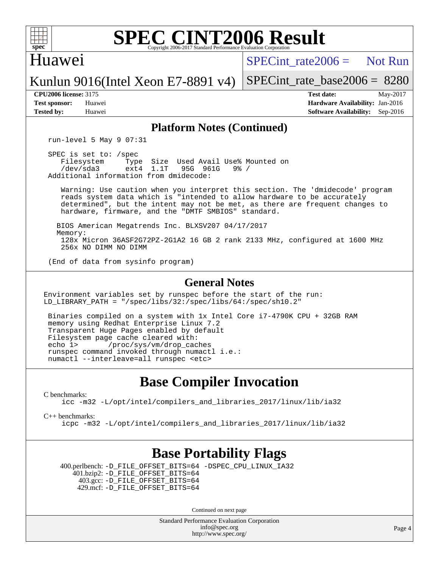

### Huawei

 $SPECint rate2006 =$  Not Run

Kunlun 9016(Intel Xeon E7-8891 v4)

[SPECint\\_rate\\_base2006 =](http://www.spec.org/auto/cpu2006/Docs/result-fields.html#SPECintratebase2006) 8280

**[CPU2006 license:](http://www.spec.org/auto/cpu2006/Docs/result-fields.html#CPU2006license)** 3175 **[Test date:](http://www.spec.org/auto/cpu2006/Docs/result-fields.html#Testdate)** May-2017 **[Test sponsor:](http://www.spec.org/auto/cpu2006/Docs/result-fields.html#Testsponsor)** Huawei **[Hardware Availability:](http://www.spec.org/auto/cpu2006/Docs/result-fields.html#HardwareAvailability)** Jan-2016 **[Tested by:](http://www.spec.org/auto/cpu2006/Docs/result-fields.html#Testedby)** Huawei **[Software Availability:](http://www.spec.org/auto/cpu2006/Docs/result-fields.html#SoftwareAvailability)** Sep-2016

### **[Platform Notes \(Continued\)](http://www.spec.org/auto/cpu2006/Docs/result-fields.html#PlatformNotes)**

run-level 5 May 9 07:31

 SPEC is set to: /spec Filesystem Type Size Used Avail Use% Mounted on<br>
/dev/sda3 ext4 1.1T 95G 961G 9% / 95G 961G Additional information from dmidecode:

 Warning: Use caution when you interpret this section. The 'dmidecode' program reads system data which is "intended to allow hardware to be accurately determined", but the intent may not be met, as there are frequent changes to hardware, firmware, and the "DMTF SMBIOS" standard.

 BIOS American Megatrends Inc. BLXSV207 04/17/2017 Memory: 128x Micron 36ASF2G72PZ-2G1A2 16 GB 2 rank 2133 MHz, configured at 1600 MHz 256x NO DIMM NO DIMM

(End of data from sysinfo program)

### **[General Notes](http://www.spec.org/auto/cpu2006/Docs/result-fields.html#GeneralNotes)**

Environment variables set by runspec before the start of the run: LD\_LIBRARY\_PATH = "/spec/libs/32:/spec/libs/64:/spec/sh10.2"

 Binaries compiled on a system with 1x Intel Core i7-4790K CPU + 32GB RAM memory using Redhat Enterprise Linux 7.2 Transparent Huge Pages enabled by default Filesystem page cache cleared with: echo 1> /proc/sys/vm/drop\_caches runspec command invoked through numactl i.e.: numactl --interleave=all runspec <etc>

# **[Base Compiler Invocation](http://www.spec.org/auto/cpu2006/Docs/result-fields.html#BaseCompilerInvocation)**

[C benchmarks](http://www.spec.org/auto/cpu2006/Docs/result-fields.html#Cbenchmarks):

[icc -m32 -L/opt/intel/compilers\\_and\\_libraries\\_2017/linux/lib/ia32](http://www.spec.org/cpu2006/results/res2017q4/cpu2006-20170918-50126.flags.html#user_CCbase_intel_icc_c29f3ff5a7ed067b11e4ec10a03f03ae)

[C++ benchmarks:](http://www.spec.org/auto/cpu2006/Docs/result-fields.html#CXXbenchmarks)

[icpc -m32 -L/opt/intel/compilers\\_and\\_libraries\\_2017/linux/lib/ia32](http://www.spec.org/cpu2006/results/res2017q4/cpu2006-20170918-50126.flags.html#user_CXXbase_intel_icpc_8c35c7808b62dab9ae41a1aa06361b6b)

# **[Base Portability Flags](http://www.spec.org/auto/cpu2006/Docs/result-fields.html#BasePortabilityFlags)**

 400.perlbench: [-D\\_FILE\\_OFFSET\\_BITS=64](http://www.spec.org/cpu2006/results/res2017q4/cpu2006-20170918-50126.flags.html#user_basePORTABILITY400_perlbench_file_offset_bits_64_438cf9856305ebd76870a2c6dc2689ab) [-DSPEC\\_CPU\\_LINUX\\_IA32](http://www.spec.org/cpu2006/results/res2017q4/cpu2006-20170918-50126.flags.html#b400.perlbench_baseCPORTABILITY_DSPEC_CPU_LINUX_IA32) 401.bzip2: [-D\\_FILE\\_OFFSET\\_BITS=64](http://www.spec.org/cpu2006/results/res2017q4/cpu2006-20170918-50126.flags.html#user_basePORTABILITY401_bzip2_file_offset_bits_64_438cf9856305ebd76870a2c6dc2689ab) 403.gcc: [-D\\_FILE\\_OFFSET\\_BITS=64](http://www.spec.org/cpu2006/results/res2017q4/cpu2006-20170918-50126.flags.html#user_basePORTABILITY403_gcc_file_offset_bits_64_438cf9856305ebd76870a2c6dc2689ab) 429.mcf: [-D\\_FILE\\_OFFSET\\_BITS=64](http://www.spec.org/cpu2006/results/res2017q4/cpu2006-20170918-50126.flags.html#user_basePORTABILITY429_mcf_file_offset_bits_64_438cf9856305ebd76870a2c6dc2689ab)

Continued on next page

Standard Performance Evaluation Corporation [info@spec.org](mailto:info@spec.org) <http://www.spec.org/>

Page 4